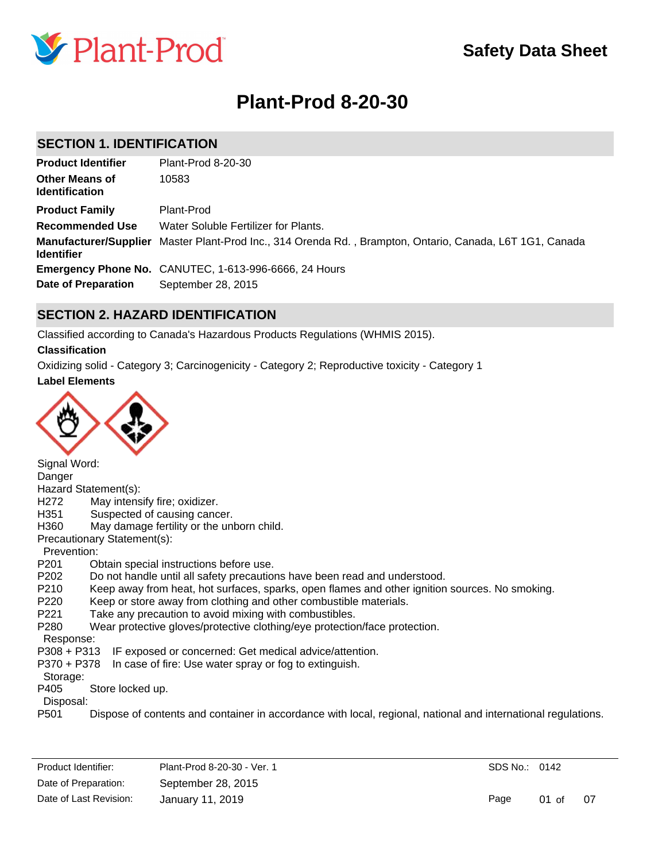

# **Plant-Prod 8-20-30**

# **SECTION 1. IDENTIFICATION**

| <b>Product Identifier</b>                         | Plant-Prod 8-20-30                                                                 |
|---------------------------------------------------|------------------------------------------------------------------------------------|
| <b>Other Means of</b><br><b>Identification</b>    | 10583                                                                              |
| <b>Product Family</b>                             | Plant-Prod                                                                         |
| <b>Recommended Use</b>                            | Water Soluble Fertilizer for Plants.                                               |
| <b>Manufacturer/Supplier</b><br><b>Identifier</b> | Master Plant-Prod Inc., 314 Orenda Rd., Brampton, Ontario, Canada, L6T 1G1, Canada |
|                                                   | <b>Emergency Phone No.</b> CANUTEC, 1-613-996-6666, 24 Hours                       |
| Date of Preparation                               | September 28, 2015                                                                 |

# **SECTION 2. HAZARD IDENTIFICATION**

Classified according to Canada's Hazardous Products Regulations (WHMIS 2015).

## **Classification**

**Label Elements** Oxidizing solid - Category 3; Carcinogenicity - Category 2; Reproductive toxicity - Category 1



Signal Word: Danger Hazard Statement(s): H272 May intensify fire; oxidizer. H351 Suspected of causing cancer. H360 May damage fertility or the unborn child. Precautionary Statement(s): Prevention: P201 Obtain special instructions before use. P202 Do not handle until all safety precautions have been read and understood. P210 Keep away from heat, hot surfaces, sparks, open flames and other ignition sources. No smoking. P220 Keep or store away from clothing and other combustible materials. P221 Take any precaution to avoid mixing with combustibles. P280 Wear protective gloves/protective clothing/eye protection/face protection. Response: P308 + P313 IF exposed or concerned: Get medical advice/attention. P370 + P378 In case of fire: Use water spray or fog to extinguish. Storage: P405 Store locked up. Disposal: P501 Dispose of contents and container in accordance with local, regional, national and international regulations.

SDS No.: 0142

Page 01 of 07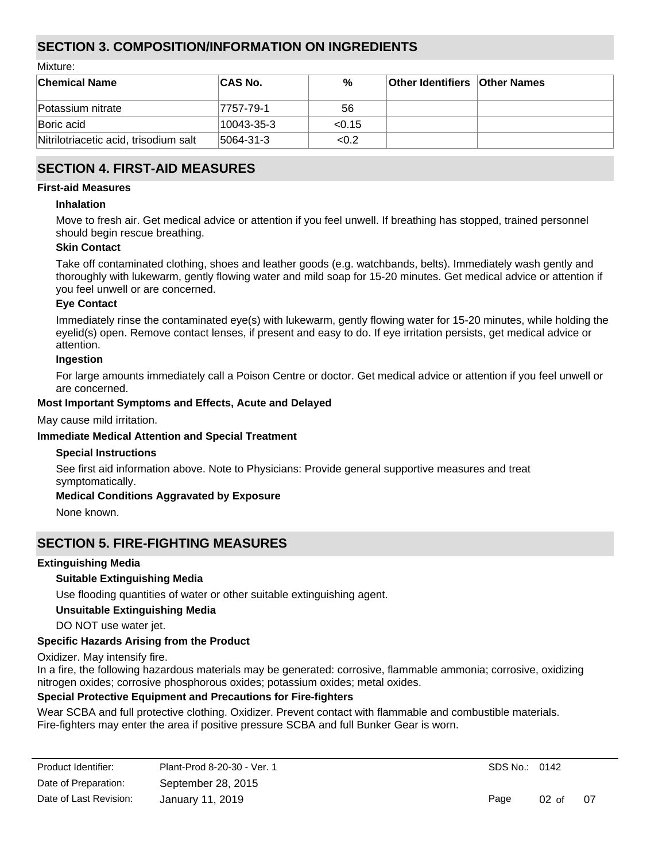# **SECTION 3. COMPOSITION/INFORMATION ON INGREDIENTS**

Mixture:

| <b>Chemical Name</b>                  | ∣CAS No.      | %      | <b>Other Identifiers Other Names</b> |  |
|---------------------------------------|---------------|--------|--------------------------------------|--|
| Potassium nitrate                     | 7757-79-1     | 56     |                                      |  |
| Boric acid                            | 10043-35-3    | < 0.15 |                                      |  |
| Nitrilotriacetic acid, trisodium salt | $ 5064-31-3 $ | < 0.2  |                                      |  |

# **SECTION 4. FIRST-AID MEASURES**

#### **First-aid Measures**

#### **Inhalation**

Move to fresh air. Get medical advice or attention if you feel unwell. If breathing has stopped, trained personnel should begin rescue breathing.

## **Skin Contact**

Take off contaminated clothing, shoes and leather goods (e.g. watchbands, belts). Immediately wash gently and thoroughly with lukewarm, gently flowing water and mild soap for 15-20 minutes. Get medical advice or attention if you feel unwell or are concerned.

#### **Eye Contact**

Immediately rinse the contaminated eye(s) with lukewarm, gently flowing water for 15-20 minutes, while holding the eyelid(s) open. Remove contact lenses, if present and easy to do. If eye irritation persists, get medical advice or attention.

#### **Ingestion**

For large amounts immediately call a Poison Centre or doctor. Get medical advice or attention if you feel unwell or are concerned.

### **Most Important Symptoms and Effects, Acute and Delayed**

May cause mild irritation.

### **Immediate Medical Attention and Special Treatment**

#### **Special Instructions**

See first aid information above. Note to Physicians: Provide general supportive measures and treat symptomatically.

## **Medical Conditions Aggravated by Exposure**

None known.

# **SECTION 5. FIRE-FIGHTING MEASURES**

#### **Extinguishing Media**

## **Suitable Extinguishing Media**

Use flooding quantities of water or other suitable extinguishing agent.

## **Unsuitable Extinguishing Media**

DO NOT use water jet.

## **Specific Hazards Arising from the Product**

Oxidizer. May intensify fire.

In a fire, the following hazardous materials may be generated: corrosive, flammable ammonia; corrosive, oxidizing nitrogen oxides; corrosive phosphorous oxides; potassium oxides; metal oxides.

## **Special Protective Equipment and Precautions for Fire-fighters**

Wear SCBA and full protective clothing. Oxidizer. Prevent contact with flammable and combustible materials. Fire-fighters may enter the area if positive pressure SCBA and full Bunker Gear is worn.

| Product Identifier:    | Plant-Prod 8-20-30 - Ver. 1 |
|------------------------|-----------------------------|
| Date of Preparation:   | September 28, 2015          |
| Date of Last Revision: | January 11, 2019            |

SDS No.: 0142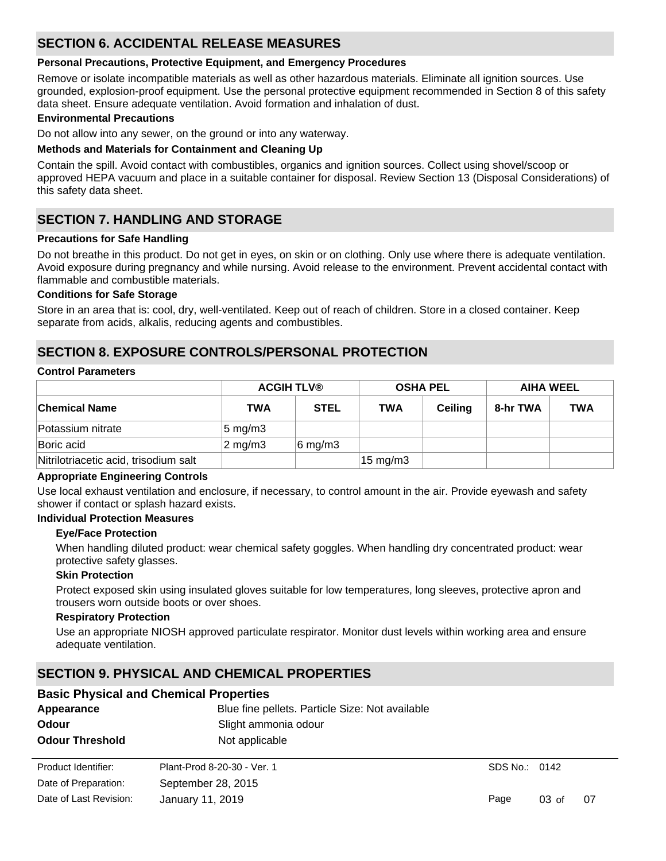# **SECTION 6. ACCIDENTAL RELEASE MEASURES**

### **Personal Precautions, Protective Equipment, and Emergency Procedures**

Remove or isolate incompatible materials as well as other hazardous materials. Eliminate all ignition sources. Use grounded, explosion-proof equipment. Use the personal protective equipment recommended in Section 8 of this safety data sheet. Ensure adequate ventilation. Avoid formation and inhalation of dust.

#### **Environmental Precautions**

Do not allow into any sewer, on the ground or into any waterway.

### **Methods and Materials for Containment and Cleaning Up**

Contain the spill. Avoid contact with combustibles, organics and ignition sources. Collect using shovel/scoop or approved HEPA vacuum and place in a suitable container for disposal. Review Section 13 (Disposal Considerations) of this safety data sheet.

# **SECTION 7. HANDLING AND STORAGE**

### **Precautions for Safe Handling**

Do not breathe in this product. Do not get in eyes, on skin or on clothing. Only use where there is adequate ventilation. Avoid exposure during pregnancy and while nursing. Avoid release to the environment. Prevent accidental contact with flammable and combustible materials.

#### **Conditions for Safe Storage**

Store in an area that is: cool, dry, well-ventilated. Keep out of reach of children. Store in a closed container. Keep separate from acids, alkalis, reducing agents and combustibles.

# **SECTION 8. EXPOSURE CONTROLS/PERSONAL PROTECTION**

#### **Control Parameters**

|                                       | <b>ACGIH TLV®</b>  |                  | <b>OSHA PEL</b>   |                | <b>AIHA WEEL</b> |            |
|---------------------------------------|--------------------|------------------|-------------------|----------------|------------------|------------|
| <b>Chemical Name</b>                  | <b>TWA</b>         | <b>STEL</b>      | TWA               | <b>Ceiling</b> | 8-hr TWA         | <b>TWA</b> |
| Potassium nitrate                     | $ 5 \text{ mg/m}3$ |                  |                   |                |                  |            |
| Boric acid                            | $2 \text{ mg/m}$   | $6 \text{ mg/m}$ |                   |                |                  |            |
| Nitrilotriacetic acid, trisodium salt |                    |                  | $15 \text{ mg/m}$ |                |                  |            |

#### **Appropriate Engineering Controls**

Use local exhaust ventilation and enclosure, if necessary, to control amount in the air. Provide eyewash and safety shower if contact or splash hazard exists.

#### **Individual Protection Measures**

#### **Eye/Face Protection**

When handling diluted product: wear chemical safety goggles. When handling dry concentrated product: wear protective safety glasses.

#### **Skin Protection**

Protect exposed skin using insulated gloves suitable for low temperatures, long sleeves, protective apron and trousers worn outside boots or over shoes.

#### **Respiratory Protection**

Use an appropriate NIOSH approved particulate respirator. Monitor dust levels within working area and ensure adequate ventilation.

# **SECTION 9. PHYSICAL AND CHEMICAL PROPERTIES**

|                        | <b>Basic Physical and Chemical Properties</b>   |               |          |     |  |  |  |  |  |
|------------------------|-------------------------------------------------|---------------|----------|-----|--|--|--|--|--|
| Appearance             | Blue fine pellets. Particle Size: Not available |               |          |     |  |  |  |  |  |
| <b>Odour</b>           |                                                 |               |          |     |  |  |  |  |  |
| <b>Odour Threshold</b> | Not applicable                                  |               |          |     |  |  |  |  |  |
| Product Identifier:    | Plant-Prod 8-20-30 - Ver. 1                     | SDS No.: 0142 |          |     |  |  |  |  |  |
| Date of Preparation:   | September 28, 2015                              |               |          |     |  |  |  |  |  |
| Date of Last Revision: | January 11, 2019                                | Page          | $03o$ of | -07 |  |  |  |  |  |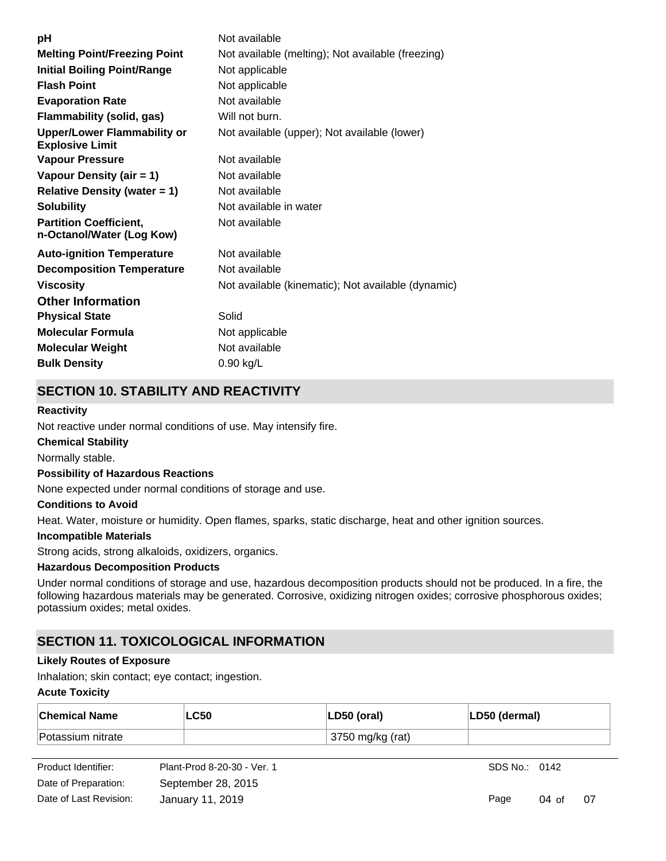| рH                                                           | Not available                                      |
|--------------------------------------------------------------|----------------------------------------------------|
| <b>Melting Point/Freezing Point</b>                          | Not available (melting); Not available (freezing)  |
| <b>Initial Boiling Point/Range</b>                           | Not applicable                                     |
| <b>Flash Point</b>                                           | Not applicable                                     |
| <b>Evaporation Rate</b>                                      | Not available                                      |
| Flammability (solid, gas)                                    | Will not burn.                                     |
| <b>Upper/Lower Flammability or</b><br><b>Explosive Limit</b> | Not available (upper); Not available (lower)       |
| <b>Vapour Pressure</b>                                       | Not available                                      |
| Vapour Density (air = 1)                                     | Not available                                      |
| <b>Relative Density (water = 1)</b>                          | Not available                                      |
| <b>Solubility</b>                                            | Not available in water                             |
| <b>Partition Coefficient,</b><br>n-Octanol/Water (Log Kow)   | Not available                                      |
| <b>Auto-ignition Temperature</b>                             | Not available                                      |
| <b>Decomposition Temperature</b>                             | Not available                                      |
| <b>Viscosity</b>                                             | Not available (kinematic); Not available (dynamic) |
| <b>Other Information</b>                                     |                                                    |
| <b>Physical State</b>                                        | Solid                                              |
| <b>Molecular Formula</b>                                     | Not applicable                                     |
| <b>Molecular Weight</b>                                      | Not available                                      |
| <b>Bulk Density</b>                                          | $0.90$ kg/L                                        |

# **SECTION 10. STABILITY AND REACTIVITY**

## **Reactivity**

Not reactive under normal conditions of use. May intensify fire.

### **Chemical Stability**

Normally stable.

#### **Possibility of Hazardous Reactions**

None expected under normal conditions of storage and use.

#### **Conditions to Avoid**

Heat. Water, moisture or humidity. Open flames, sparks, static discharge, heat and other ignition sources.

#### **Incompatible Materials**

Strong acids, strong alkaloids, oxidizers, organics.

# **Hazardous Decomposition Products**

Under normal conditions of storage and use, hazardous decomposition products should not be produced. In a fire, the following hazardous materials may be generated. Corrosive, oxidizing nitrogen oxides; corrosive phosphorous oxides; potassium oxides; metal oxides.

# **SECTION 11. TOXICOLOGICAL INFORMATION**

#### **Likely Routes of Exposure**

Inhalation; skin contact; eye contact; ingestion.

#### **Acute Toxicity**

| ∣Chemical Name    | <b>LC50</b> | LD50 (oral)      | LD50 (dermal) |
|-------------------|-------------|------------------|---------------|
| Potassium nitrate |             | 3750 mg/kg (rat) |               |

| Product Identifier:    | Plant-Prod 8-20-30 - Ver. 1 |
|------------------------|-----------------------------|
| Date of Preparation:   | September 28, 2015          |
| Date of Last Revision: | January 11, 2019            |

SDS No.: 0142

Page 04 of 07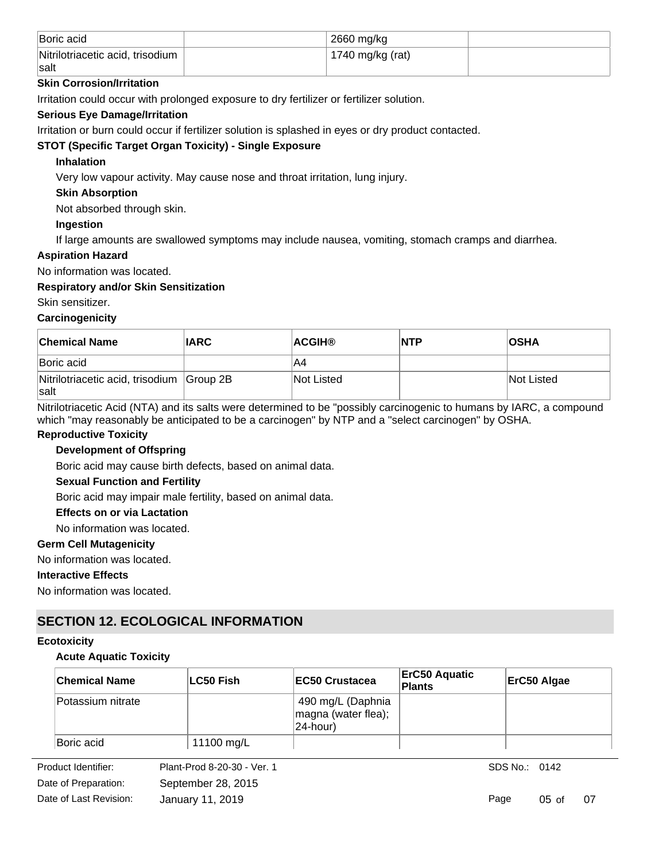| Boric acid                                      | 2660 mg/kg       |  |
|-------------------------------------------------|------------------|--|
| Nitrilotriacetic acid, trisodium<br><b>Salt</b> | 1740 mg/kg (rat) |  |

# **Skin Corrosion/Irritation**

Irritation could occur with prolonged exposure to dry fertilizer or fertilizer solution.

# **Serious Eye Damage/Irritation**

Irritation or burn could occur if fertilizer solution is splashed in eyes or dry product contacted.

# **STOT (Specific Target Organ Toxicity) - Single Exposure**

# **Inhalation**

Very low vapour activity. May cause nose and throat irritation, lung injury.

# **Skin Absorption**

Not absorbed through skin.

# **Ingestion**

If large amounts are swallowed symptoms may include nausea, vomiting, stomach cramps and diarrhea.

# **Aspiration Hazard**

No information was located.

# **Respiratory and/or Skin Sensitization**

Skin sensitizer.

## **Carcinogenicity**

| <b>Chemical Name</b>                                      | <b>IARC</b> | <b>ACGIH®</b>     | <b>NTP</b> | <b>OSHA</b>       |
|-----------------------------------------------------------|-------------|-------------------|------------|-------------------|
| Boric acid                                                |             | A4                |            |                   |
| Nitrilotriacetic acid, trisodium Group 2B<br>$\vert$ salt |             | <b>Not Listed</b> |            | <b>Not Listed</b> |

Nitrilotriacetic Acid (NTA) and its salts were determined to be "possibly carcinogenic to humans by IARC, a compound which "may reasonably be anticipated to be a carcinogen" by NTP and a "select carcinogen" by OSHA.

# **Reproductive Toxicity**

# **Development of Offspring**

Boric acid may cause birth defects, based on animal data.

## **Sexual Function and Fertility**

Boric acid may impair male fertility, based on animal data.

#### **Effects on or via Lactation**

No information was located.

## **Germ Cell Mutagenicity**

No information was located.

## **Interactive Effects**

No information was located.

# **SECTION 12. ECOLOGICAL INFORMATION**

#### **Ecotoxicity**

## **Acute Aquatic Toxicity**

| <b>Chemical Name</b> | LC50 Fish  | <b>IEC50 Crustacea</b>                               | <b>ErC50 Aquatic</b><br><b>Plants</b> | ErC50 Algae |
|----------------------|------------|------------------------------------------------------|---------------------------------------|-------------|
| Potassium nitrate    |            | 490 mg/L (Daphnia<br>magna (water flea);<br>24-hour) |                                       |             |
| Boric acid           | 11100 mg/L |                                                      |                                       |             |

**Product Identifier:** Date of Preparation: Date of Last Revision: January 11, 2019

Product Identifier: Plant-Prod 8-20-30 - Ver. 1 September 28, 2015

SDS No.: 0142

Page 05 of 07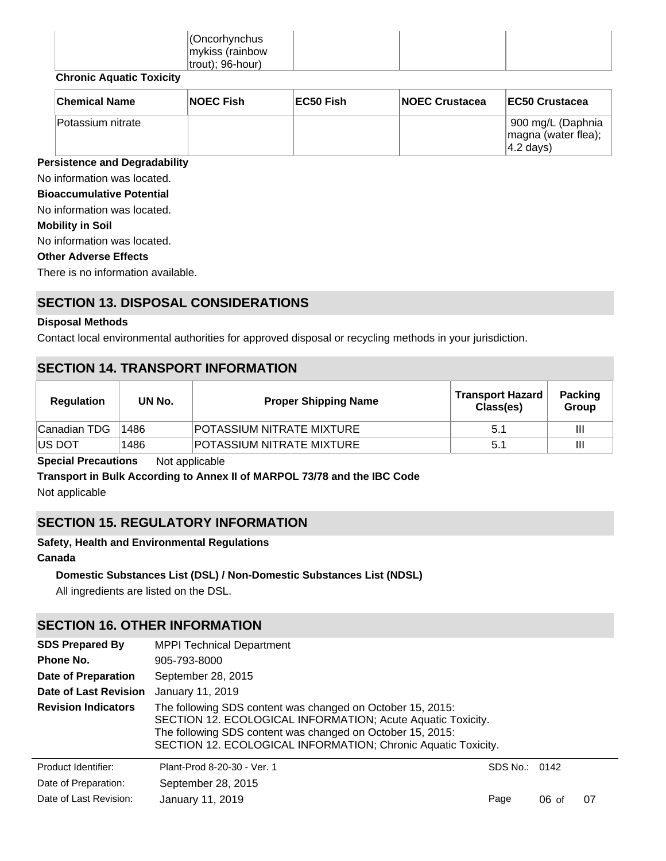| Cncorhynchus         |  |  |
|----------------------|--|--|
| mykiss (rainbow      |  |  |
| $ $ trout); 96-hour) |  |  |
| $\sim$               |  |  |

# **Chronic Aquatic Toxicity**

| <b>Chemical Name</b> | <b>NOEC Fish</b> | EC50 Fish | <b>NOEC Crustacea</b> | EC50 Crustacea                                           |
|----------------------|------------------|-----------|-----------------------|----------------------------------------------------------|
| Potassium nitrate    |                  |           |                       | 900 mg/L (Daphnia<br>magna (water flea);<br>$ 4.2$ days) |

# **Persistence and Degradability**

No information was located.

**Bioaccumulative Potential**

No information was located.

#### **Mobility in Soil**

No information was located.

#### **Other Adverse Effects**

There is no information available.

# **SECTION 13. DISPOSAL CONSIDERATIONS**

# **Disposal Methods**

Contact local environmental authorities for approved disposal or recycling methods in your jurisdiction.

# **SECTION 14. TRANSPORT INFORMATION**

| <b>Regulation</b> | UN No. | <b>Proper Shipping Name</b>      | <b>Transport Hazard</b><br>Class(es) | <b>Packing</b><br>Group |
|-------------------|--------|----------------------------------|--------------------------------------|-------------------------|
| Canadian TDG      | 1486   | <b>POTASSIUM NITRATE MIXTURE</b> | 5.1                                  | Ш                       |
| IUS DOT           | 1486   | POTASSIUM NITRATE MIXTURE        | 5.1                                  | Ш                       |

**Special Precautions** Not applicable

**Transport in Bulk According to Annex II of MARPOL 73/78 and the IBC Code**

Not applicable

# **SECTION 15. REGULATORY INFORMATION**

## **Safety, Health and Environmental Regulations**

# **Canada**

## **Domestic Substances List (DSL) / Non-Domestic Substances List (NDSL)**

All ingredients are listed on the DSL.

# **SECTION 16. OTHER INFORMATION**

| <b>SDS Prepared By</b>     | <b>MPPI Technical Department</b>                                                                                                                                                                                                                         |               |         |    |  |  |
|----------------------------|----------------------------------------------------------------------------------------------------------------------------------------------------------------------------------------------------------------------------------------------------------|---------------|---------|----|--|--|
| Phone No.                  | 905-793-8000                                                                                                                                                                                                                                             |               |         |    |  |  |
| <b>Date of Preparation</b> | September 28, 2015                                                                                                                                                                                                                                       |               |         |    |  |  |
| Date of Last Revision      | January 11, 2019                                                                                                                                                                                                                                         |               |         |    |  |  |
| <b>Revision Indicators</b> | The following SDS content was changed on October 15, 2015:<br>SECTION 12. ECOLOGICAL INFORMATION; Acute Aquatic Toxicity.<br>The following SDS content was changed on October 15, 2015:<br>SECTION 12. ECOLOGICAL INFORMATION; Chronic Aquatic Toxicity. |               |         |    |  |  |
| Product Identifier:        | Plant-Prod 8-20-30 - Ver. 1                                                                                                                                                                                                                              | SDS No.: 0142 |         |    |  |  |
| Date of Preparation:       | September 28, 2015                                                                                                                                                                                                                                       |               |         |    |  |  |
| Date of Last Revision:     | January 11, 2019                                                                                                                                                                                                                                         | Page          | $06$ of | 07 |  |  |